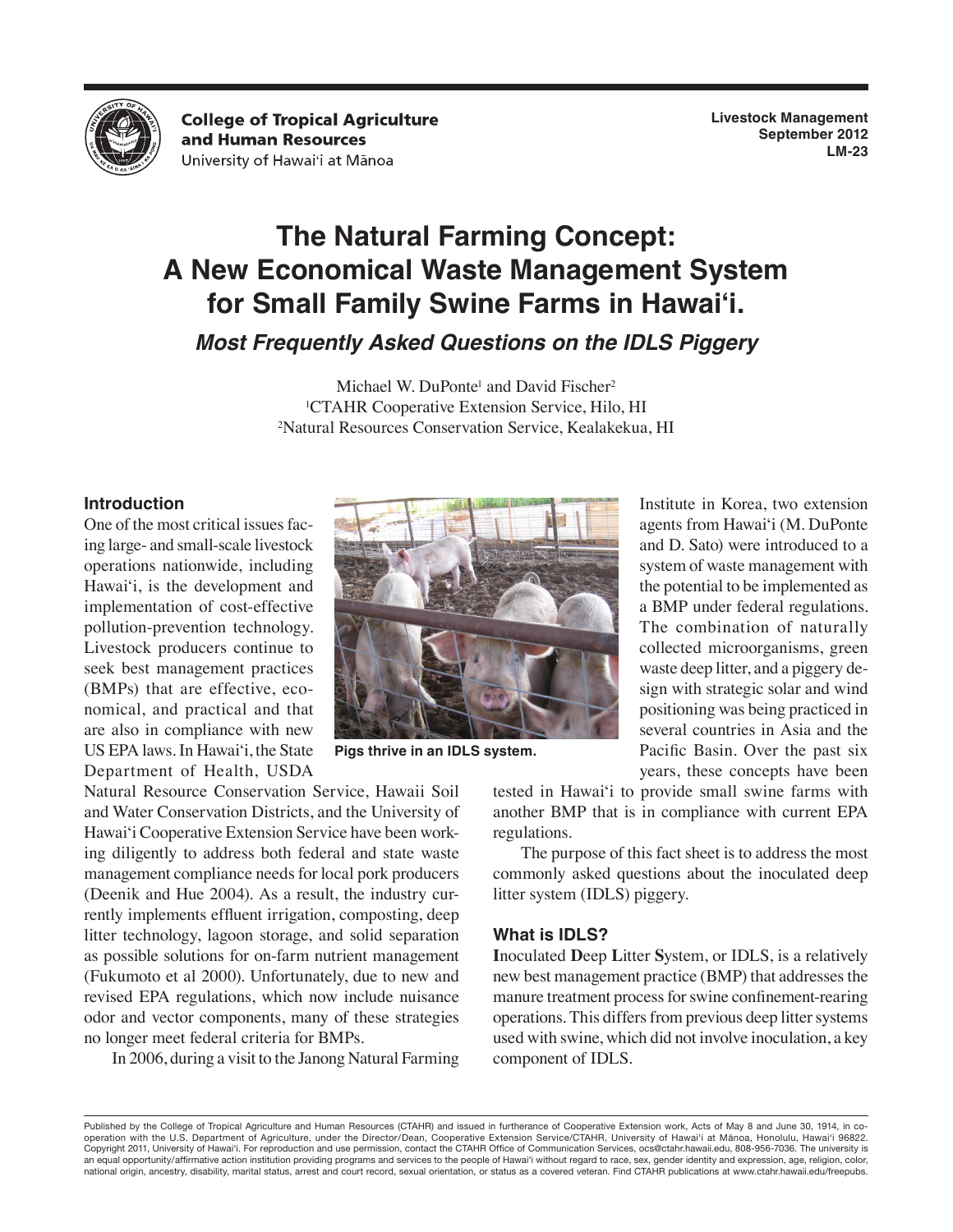

**College of Tropical Agriculture** and Human Resources University of Hawai'i at Mānoa

**Livestock Management September 2012 LM-23**

# **The Natural Farming Concept: A New Economical Waste Management System for Small Family Swine Farms in Hawai'i.**

*Most Frequently Asked Questions on the IDLS Piggery*

Michael W. DuPonte<sup>1</sup> and David Fischer<sup>2</sup> <sup>1</sup>CTAHR Cooperative Extension Service, Hilo, HI<br><sup>2</sup>Natural Resources Conservation Service, Kealakekua Natural Resources Conservation Service, Kealakekua, HI

#### **Introduction**

One of the most critical issues facing large- and small-scale livestock operations nationwide, including Hawaiʻi, is the development and implementation of cost-effective pollution-prevention technology. Livestock producers continue to seek best management practices (BMPs) that are effective, economical, and practical and that are also in compliance with new US EPA laws. In Hawaiʻi, the State Department of Health, USDA



**Pigs thrive in an IDLS system.**

Natural Resource Conservation Service, Hawaii Soil and Water Conservation Districts, and the University of Hawaiʻi Cooperative Extension Service have been working diligently to address both federal and state waste management compliance needs for local pork producers (Deenik and Hue 2004). As a result, the industry currently implements effluent irrigation, composting, deep litter technology, lagoon storage, and solid separation as possible solutions for on-farm nutrient management (Fukumoto et al 2000). Unfortunately, due to new and revised EPA regulations, which now include nuisance odor and vector components, many of these strategies no longer meet federal criteria for BMPs.

In 2006, during a visit to the Janong Natural Farming

agents from Hawaiʻi (M. DuPonte and D. Sato) were introduced to a system of waste management with the potential to be implemented as a BMP under federal regulations. The combination of naturally collected microorganisms, green waste deep litter, and a piggery design with strategic solar and wind positioning was being practiced in several countries in Asia and the Pacific Basin. Over the past six years, these concepts have been

Institute in Korea, two extension

tested in Hawaiʻi to provide small swine farms with another BMP that is in compliance with current EPA regulations.

The purpose of this fact sheet is to address the most commonly asked questions about the inoculated deep litter system (IDLS) piggery.

#### **What is IDLS?**

**I**noculated **D**eep **L**itter **S**ystem, or IDLS, is a relatively new best management practice (BMP) that addresses the manure treatment process for swine confinement-rearing operations. This differs from previous deep litter systems used with swine, which did not involve inoculation, a key component of IDLS.

Published by the College of Tropical Agriculture and Human Resources (CTAHR) and issued in furtherance of Cooperative Extension work, Acts of May 8 and June 30, 1914, in cooperation with the U.S. Department of Agriculture, under the Director/Dean, Cooperative Extension Service/CTAHR, University of Hawai'i at Mānoa, Honolulu, Hawai'i 96822. Copyright 2011, University of Hawai'i. For reproduction and use permission, contact the CTAHR Office of Communication Services, ocs@ctahr.hawaii.edu, 808-956-7036. The university is an equal opportunity/affirmative action institution providing programs and services to the people of Hawai'i without regard to race, sex, gender identity and expression, age, religion, color, national origin, ancestry, disability, marital status, arrest and court record, sexual orientation, or status as a covered veteran. Find CTAHR publications at www.ctahr.hawaii.edu/freepubs.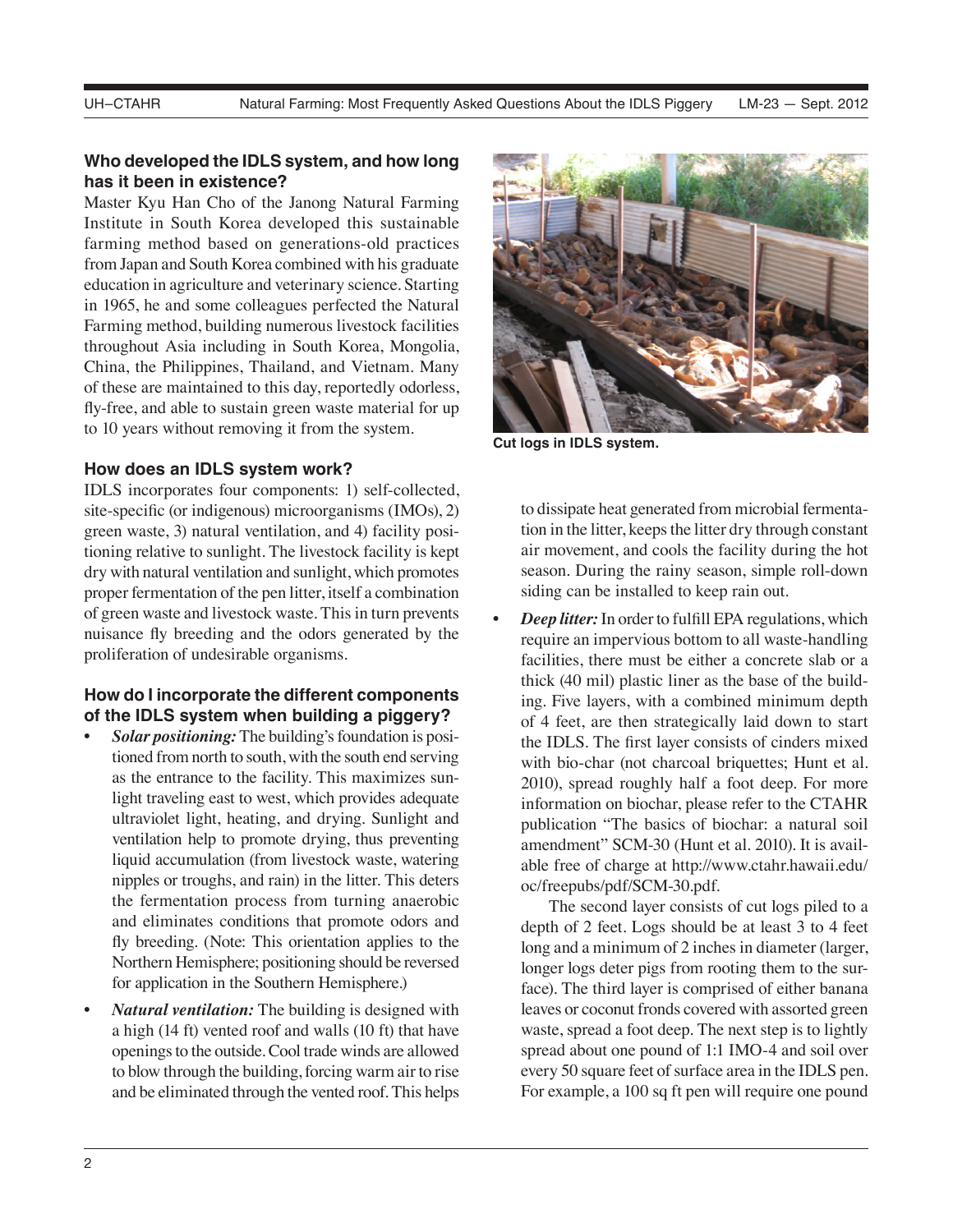### **Who developed the IDLS system, and how long has it been in existence?**

Master Kyu Han Cho of the Janong Natural Farming Institute in South Korea developed this sustainable farming method based on generations-old practices from Japan and South Korea combined with his graduate education in agriculture and veterinary science. Starting in 1965, he and some colleagues perfected the Natural Farming method, building numerous livestock facilities throughout Asia including in South Korea, Mongolia, China, the Philippines, Thailand, and Vietnam. Many of these are maintained to this day, reportedly odorless, fly-free, and able to sustain green waste material for up to 10 years without removing it from the system.

#### **How does an IDLS system work?**

IDLS incorporates four components: 1) self-collected, site-specific (or indigenous) microorganisms (IMOs), 2) green waste, 3) natural ventilation, and 4) facility positioning relative to sunlight. The livestock facility is kept dry with natural ventilation and sunlight, which promotes proper fermentation of the pen litter, itself a combination of green waste and livestock waste. This in turn prevents nuisance fly breeding and the odors generated by the proliferation of undesirable organisms.

#### **How do I incorporate the different components of the IDLS system when building a piggery?**

- *Solar positioning:* The building's foundation is positioned from north to south, with the south end serving as the entrance to the facility. This maximizes sunlight traveling east to west, which provides adequate ultraviolet light, heating, and drying. Sunlight and ventilation help to promote drying, thus preventing liquid accumulation (from livestock waste, watering nipples or troughs, and rain) in the litter. This deters the fermentation process from turning anaerobic and eliminates conditions that promote odors and fly breeding. (Note: This orientation applies to the Northern Hemisphere; positioning should be reversed for application in the Southern Hemisphere.)
- *Natural ventilation:* The building is designed with a high (14 ft) vented roof and walls (10 ft) that have openings to the outside. Cool trade winds are allowed to blow through the building, forcing warm air to rise and be eliminated through the vented roof. This helps



**Cut logs in IDLS system.**

to dissipate heat generated from microbial fermentation in the litter, keeps the litter dry through constant air movement, and cools the facility during the hot season. During the rainy season, simple roll-down siding can be installed to keep rain out.

*Deep litter:* In order to fulfill EPA regulations, which require an impervious bottom to all waste-handling facilities, there must be either a concrete slab or a thick (40 mil) plastic liner as the base of the building. Five layers, with a combined minimum depth of 4 feet, are then strategically laid down to start the IDLS. The first layer consists of cinders mixed with bio-char (not charcoal briquettes; Hunt et al. 2010), spread roughly half a foot deep. For more information on biochar, please refer to the CTAHR publication "The basics of biochar: a natural soil amendment" SCM-30 (Hunt et al. 2010). It is available free of charge at http://www.ctahr.hawaii.edu/ oc/freepubs/pdf/SCM-30.pdf.

The second layer consists of cut logs piled to a depth of 2 feet. Logs should be at least 3 to 4 feet long and a minimum of 2 inches in diameter (larger, longer logs deter pigs from rooting them to the surface). The third layer is comprised of either banana leaves or coconut fronds covered with assorted green waste, spread a foot deep. The next step is to lightly spread about one pound of 1:1 IMO-4 and soil over every 50 square feet of surface area in the IDLS pen. For example, a 100 sq ft pen will require one pound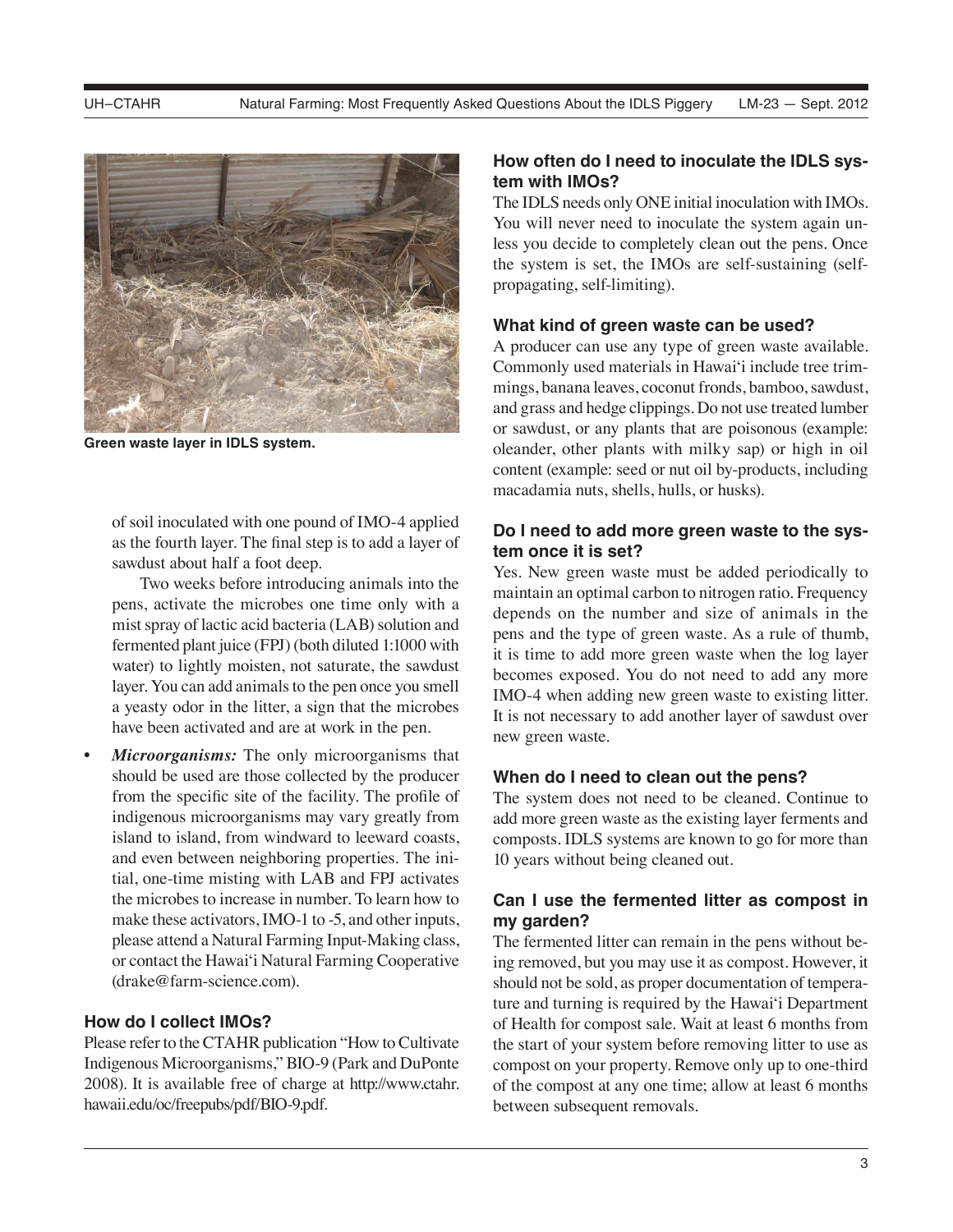

**Green waste layer in IDLS system.**

of soil inoculated with one pound of IMO-4 applied as the fourth layer. The final step is to add a layer of sawdust about half a foot deep.

Two weeks before introducing animals into the pens, activate the microbes one time only with a mist spray of lactic acid bacteria (LAB) solution and fermented plant juice (FPJ) (both diluted 1:1000 with water) to lightly moisten, not saturate, the sawdust layer. You can add animals to the pen once you smell a yeasty odor in the litter, a sign that the microbes have been activated and are at work in the pen.

*Microorganisms:* The only microorganisms that should be used are those collected by the producer from the specific site of the facility. The profile of indigenous microorganisms may vary greatly from island to island, from windward to leeward coasts, and even between neighboring properties. The initial, one-time misting with LAB and FPJ activates the microbes to increase in number. To learn how to make these activators, IMO-1 to -5, and other inputs, please attend a Natural Farming Input-Making class, or contact the Hawaiʻi Natural Farming Cooperative (drake@farm-science.com).

#### **How do I collect IMOs?**

Please refer to the CTAHR publication "How to Cultivate Indigenous Microorganisms," BIO-9 (Park and DuPonte 2008). It is available free of charge at http://www.ctahr. hawaii.edu/oc/freepubs/pdf/BIO-9.pdf.

## **How often do I need to inoculate the IDLS system with IMOs?**

The IDLS needs only ONE initial inoculation with IMOs. You will never need to inoculate the system again unless you decide to completely clean out the pens. Once the system is set, the IMOs are self-sustaining (selfpropagating, self-limiting).

#### **What kind of green waste can be used?**

A producer can use any type of green waste available. Commonly used materials in Hawaiʻi include tree trimmings, banana leaves, coconut fronds, bamboo, sawdust, and grass and hedge clippings. Do not use treated lumber or sawdust, or any plants that are poisonous (example: oleander, other plants with milky sap) or high in oil content (example: seed or nut oil by-products, including macadamia nuts, shells, hulls, or husks).

## **Do I need to add more green waste to the system once it is set?**

Yes. New green waste must be added periodically to maintain an optimal carbon to nitrogen ratio. Frequency depends on the number and size of animals in the pens and the type of green waste. As a rule of thumb, it is time to add more green waste when the log layer becomes exposed. You do not need to add any more IMO-4 when adding new green waste to existing litter. It is not necessary to add another layer of sawdust over new green waste.

#### **When do I need to clean out the pens?**

The system does not need to be cleaned. Continue to add more green waste as the existing layer ferments and composts. IDLS systems are known to go for more than 10 years without being cleaned out.

## **Can I use the fermented litter as compost in my garden?**

The fermented litter can remain in the pens without being removed, but you may use it as compost. However, it should not be sold, as proper documentation of temperature and turning is required by the Hawaiʻi Department of Health for compost sale. Wait at least 6 months from the start of your system before removing litter to use as compost on your property. Remove only up to one-third of the compost at any one time; allow at least 6 months between subsequent removals.